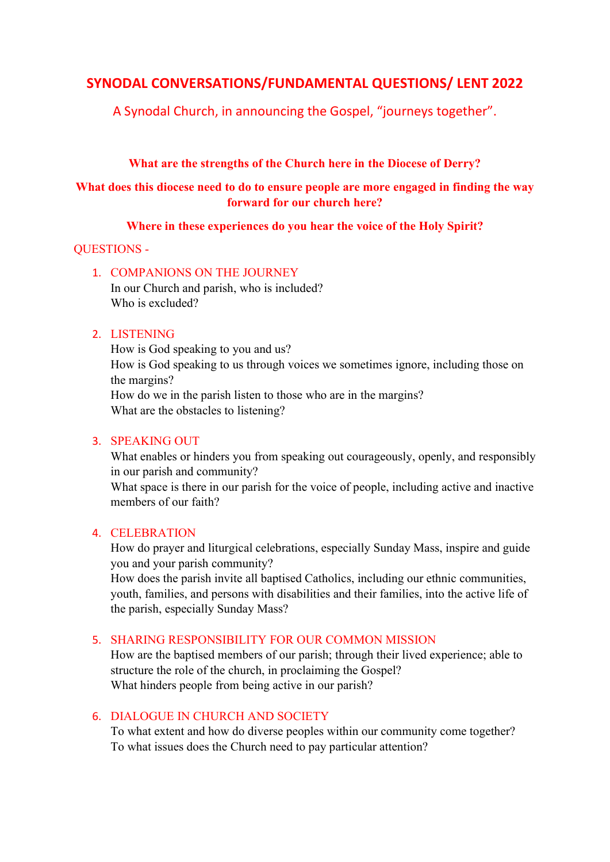# SYNODAL CONVERSATIONS/FUNDAMENTAL QUESTIONS/ LENT 2022

A Synodal Church, in announcing the Gospel, "journeys together".

# What are the strengths of the Church here in the Diocese of Derry?

# What does this diocese need to do to ensure people are more engaged in finding the way forward for our church here?

### Where in these experiences do you hear the voice of the Holy Spirit?

### QUESTIONS -

1. COMPANIONS ON THE JOURNEY In our Church and parish, who is included? Who is excluded?

### 2. LISTENING

How is God speaking to you and us? How is God speaking to us through voices we sometimes ignore, including those on the margins? How do we in the parish listen to those who are in the margins? What are the obstacles to listening?

# 3. SPEAKING OUT

What enables or hinders you from speaking out courageously, openly, and responsibly in our parish and community?

What space is there in our parish for the voice of people, including active and inactive members of our faith?

#### 4. CELEBRATION

How do prayer and liturgical celebrations, especially Sunday Mass, inspire and guide you and your parish community?

How does the parish invite all baptised Catholics, including our ethnic communities, youth, families, and persons with disabilities and their families, into the active life of the parish, especially Sunday Mass?

# 5. SHARING RESPONSIBILITY FOR OUR COMMON MISSION

How are the baptised members of our parish; through their lived experience; able to structure the role of the church, in proclaiming the Gospel? What hinders people from being active in our parish?

# 6. DIALOGUE IN CHURCH AND SOCIETY

To what extent and how do diverse peoples within our community come together? To what issues does the Church need to pay particular attention?